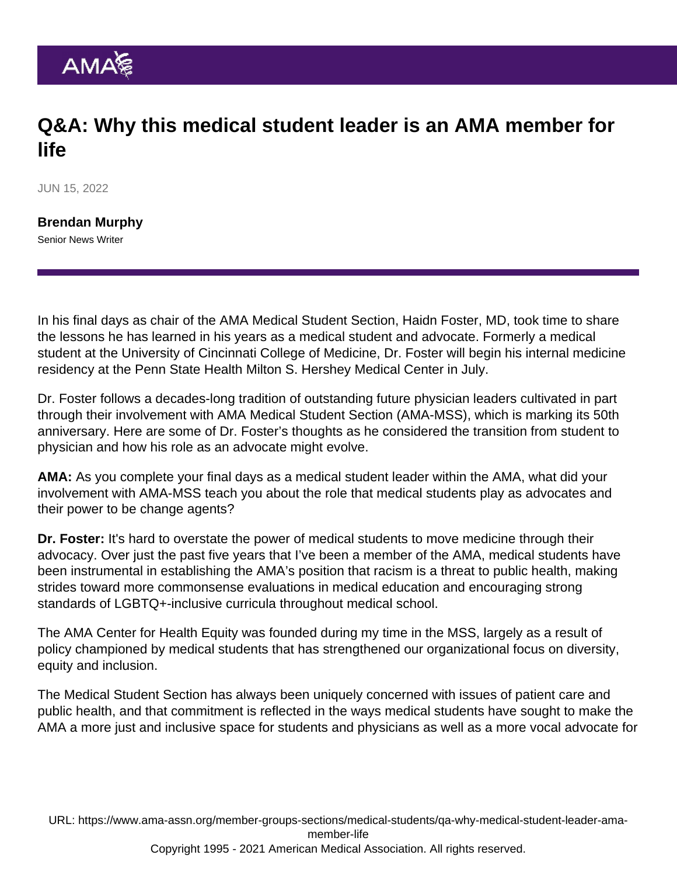## Q&A: Why this medical student leader is an AMA member for life

JUN 15, 2022

[Brendan Murphy](https://www.ama-assn.org/news-leadership-viewpoints/authors-news-leadership-viewpoints/brendan-murphy) Senior News Writer

In his final days as chair of the AMA Medical Student Section, [Haidn Foster, MD](https://www.ama-assn.org/about/leadership/haidn-e-foster-members-move-medicine-advancing-lgbtq-medical-education), took time to share the lessons he has learned in his years as a medical student and advocate. Formerly a medical student at the University of Cincinnati College of Medicine, Dr. Foster will begin his internal medicine residency at the Penn State Health Milton S. Hershey Medical Center in July.

Dr. Foster follows a decades-long tradition of outstanding future physician leaders cultivated in part through their involvement with [AMA Medical Student Section \(AMA-MSS\), which is marking its 50th](https://www.ama-assn.org/member-groups-sections/medical-students/medical-student-section-mss-50th-anniversary) [anniversary](https://www.ama-assn.org/member-groups-sections/medical-students/medical-student-section-mss-50th-anniversary). Here are some of Dr. Foster's thoughts as he considered the transition from student to physician and how his role as an advocate might evolve.

AMA: As you complete your final days as a medical student leader within the AMA, what did your involvement with [AMA-MSS](https://www.ama-assn.org/member-groups-sections/medical-students) teach you about the role that medical students play as advocates and their power to be change agents?

Dr. Foster: It's hard to overstate the power of medical students to move medicine through their advocacy. Over just the past five years that I've been a member of the AMA, medical students have been instrumental in establishing the AMA's position that [racism is a threat to public health,](https://policysearch.ama-assn.org/policyfinder/detail/racism health threat?uri=/AMADoc/HOD.xml-H-65.952.xml) making strides toward more commonsense evaluations in medical education and encouraging strong standards of LGBTQ+-inclusive curricula throughout medical school.

The [AMA Center for Health Equity](https://www.ama-assn.org/about/ama-center-health-equity) was founded during my time in the MSS, largely as a result of policy championed by medical students that has strengthened our organizational focus on diversity, equity and inclusion.

The Medical Student Section has always been uniquely concerned with issues of patient care and public health, and that commitment is reflected in the ways medical students have sought to make the AMA a more just and inclusive space for students and physicians as well as a more vocal advocate for

URL: [https://www.ama-assn.org/member-groups-sections/medical-students/qa-why-medical-student-leader-ama](https://www.ama-assn.org/member-groups-sections/medical-students/qa-why-medical-student-leader-ama-member-life)[member-life](https://www.ama-assn.org/member-groups-sections/medical-students/qa-why-medical-student-leader-ama-member-life)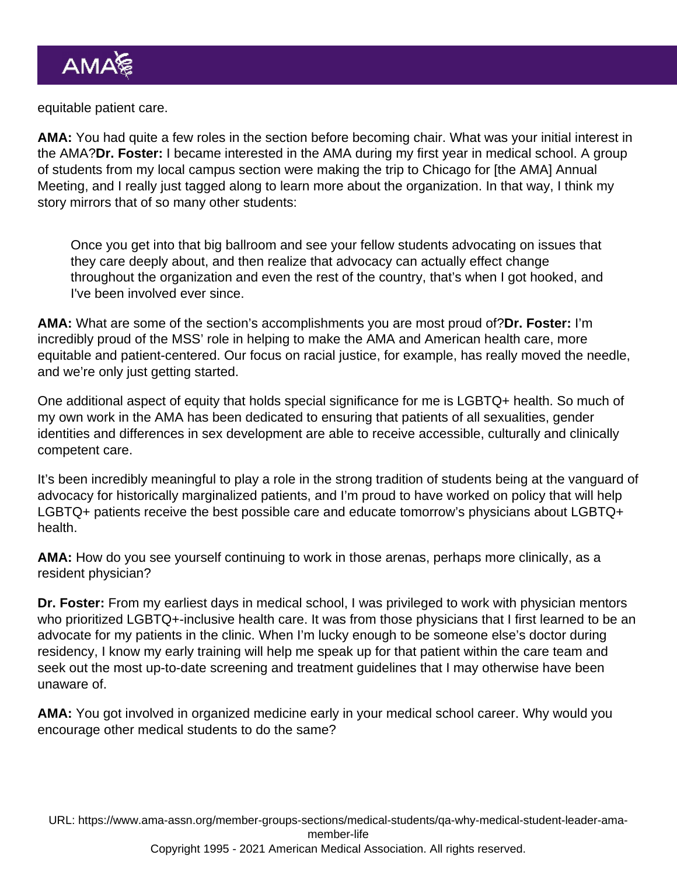equitable patient care.

AMA: You had quite a few roles in the section before becoming chair. What was your initial interest in the AMA?Dr. Foster: I became interested in the AMA during my first year in medical school. A group of students from my local campus section were making the trip to Chicago for [the AMA] Annual Meeting, and I really just tagged along to learn more about the organization. In that way, I think my story mirrors that of so many other students:

Once you get into that big ballroom and see your fellow students advocating on issues that they care deeply about, and then realize that advocacy can actually effect change throughout the organization and even the rest of the country, that's when I got hooked, and I've been involved ever since.

AMA: What are some of the section's accomplishments you are most proud of?Dr. Foster: I'm incredibly proud of the MSS' role in helping to make the AMA and American health care, more equitable and patient-centered. Our focus on racial justice, for example, has really moved the needle, and we're only just getting started.

One additional aspect of equity that holds special significance for me is LGBTQ+ health. So much of my own work in the AMA has been dedicated to ensuring that patients of all sexualities, gender identities and differences in sex development are able to receive accessible, culturally and clinically competent care.

It's been incredibly meaningful to play a role in the strong tradition of students being at the vanguard of advocacy for historically marginalized patients, and I'm proud to have worked on policy that will help LGBTQ+ patients receive the best possible care and educate tomorrow's physicians about LGBTQ+ health.

AMA: How do you see yourself continuing to work in those arenas, perhaps more clinically, as a resident physician?

Dr. Foster: From my earliest days in medical school, I was privileged to work with physician mentors who prioritized LGBTQ+-inclusive health care. It was from those physicians that I first learned to be an advocate for my patients in the clinic. When I'm lucky enough to be someone else's doctor during residency, I know my early training will help me speak up for that patient within the care team and seek out the most up-to-date screening and treatment guidelines that I may otherwise have been unaware of.

AMA: You got involved in organized medicine early in your medical school career. Why would you encourage other medical students to do the same?

URL: [https://www.ama-assn.org/member-groups-sections/medical-students/qa-why-medical-student-leader-ama](https://www.ama-assn.org/member-groups-sections/medical-students/qa-why-medical-student-leader-ama-member-life)[member-life](https://www.ama-assn.org/member-groups-sections/medical-students/qa-why-medical-student-leader-ama-member-life)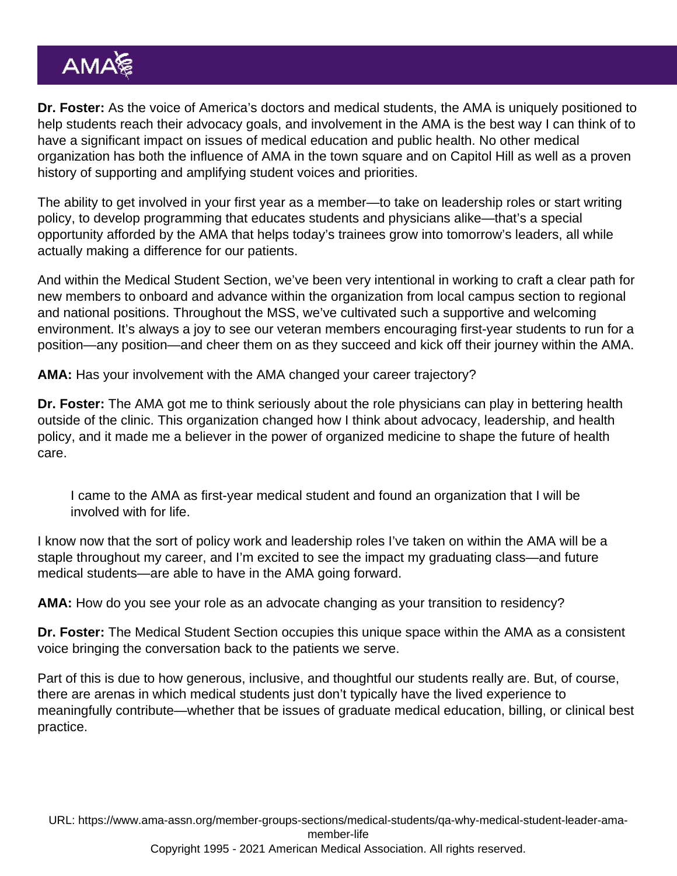Dr. Foster: As the voice of America's doctors and medical students, the AMA is uniquely positioned to help students reach their advocacy goals, and involvement in the AMA is the best way I can think of to have a significant impact on issues of medical education and public health. No other medical organization has both the influence of AMA in the town square and on Capitol Hill as well as a proven history of supporting and amplifying student voices and priorities.

The ability to get involved in your first year as a member—to take on leadership roles or start writing policy, to develop programming that educates students and physicians alike—that's a special opportunity afforded by the AMA that helps today's trainees grow into tomorrow's leaders, all while actually making a difference for our patients.

And within the Medical Student Section, we've been very intentional in working to craft a clear path for new members to onboard and advance within the organization from local campus section to regional and national positions. Throughout the MSS, we've cultivated such a supportive and welcoming environment. It's always a joy to see our veteran members encouraging first-year students to run for a position—any position—and cheer them on as they succeed and kick off their journey within the AMA.

AMA: Has your involvement with the AMA changed your career trajectory?

Dr. Foster: The AMA got me to think seriously about the role physicians can play in bettering health outside of the clinic. This organization changed how I think about advocacy, leadership, and health policy, and it made me a believer in the power of organized medicine to shape the future of health care.

I came to the AMA as first-year medical student and found an organization that I will be involved with for life.

I know now that the sort of policy work and leadership roles I've taken on within the AMA will be a staple throughout my career, and I'm excited to see the impact my graduating class—and future medical students—are able to have in the AMA going forward.

AMA: How do you see your role as an advocate changing as your transition to residency?

Dr. Foster: The Medical Student Section occupies this unique space within the AMA as a consistent voice bringing the conversation back to the patients we serve.

Part of this is due to how generous, inclusive, and thoughtful our students really are. But, of course, there are arenas in which medical students just don't typically have the lived experience to meaningfully contribute—whether that be issues of graduate medical education, billing, or clinical best practice.

URL: [https://www.ama-assn.org/member-groups-sections/medical-students/qa-why-medical-student-leader-ama](https://www.ama-assn.org/member-groups-sections/medical-students/qa-why-medical-student-leader-ama-member-life)[member-life](https://www.ama-assn.org/member-groups-sections/medical-students/qa-why-medical-student-leader-ama-member-life) Copyright 1995 - 2021 American Medical Association. All rights reserved.